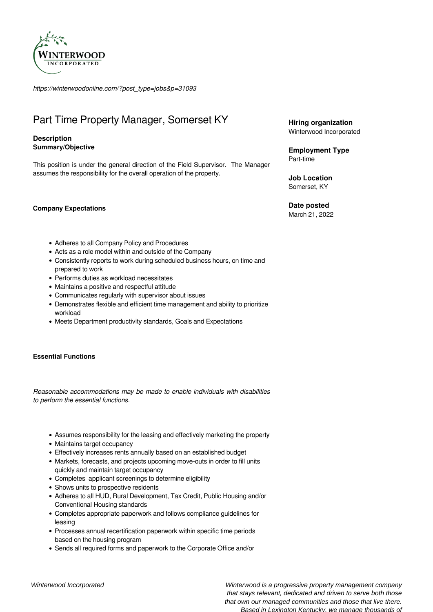

*https://winterwoodonline.com/?post\_type=jobs&p=31093*

# Part Time Property Manager, Somerset KY

## **Description Summary/Objective**

This position is under the general direction of the Field Supervisor. The Manager assumes the responsibility for the overall operation of the property.

**Company Expectations** 

• Adheres to all Company Policy and Procedures

- Acts as a role model within and outside of the Company
- Consistently reports to work during scheduled business hours, on time and prepared to work
- Performs duties as workload necessitates
- Maintains a positive and respectful attitude
- Communicates regularly with supervisor about issues
- Demonstrates flexible and efficient time management and ability to prioritize workload
- Meets Department productivity standards, Goals and Expectations

## **Essential Functions**

*Reasonable accommodations may be made to enable individuals with disabilities to perform the essential functions.*

- Assumes responsibility for the leasing and effectively marketing the property
- Maintains target occupancy
- Effectively increases rents annually based on an established budget
- Markets, forecasts, and projects upcoming move-outs in order to fill units quickly and maintain target occupancy
- Completes applicant screenings to determine eligibility
- Shows units to prospective residents
- Adheres to all HUD, Rural Development, Tax Credit, Public Housing and/or Conventional Housing standards
- Completes appropriate paperwork and follows compliance guidelines for leasing
- Processes annual recertification paperwork within specific time periods based on the housing program
- Sends all required forms and paperwork to the Corporate Office and/or

**Hiring organization** Winterwood Incorporated

**Employment Type** Part-time

**Job Location** Somerset, KY

**Date posted**

March 21, 2022

Winterwood Incorporated Winterwood is a progressive property management company that stays relevant, dedicated and driven to serve both those that own our managed communities and those that live there. Based in Lexington Kentucky, we manage thousands of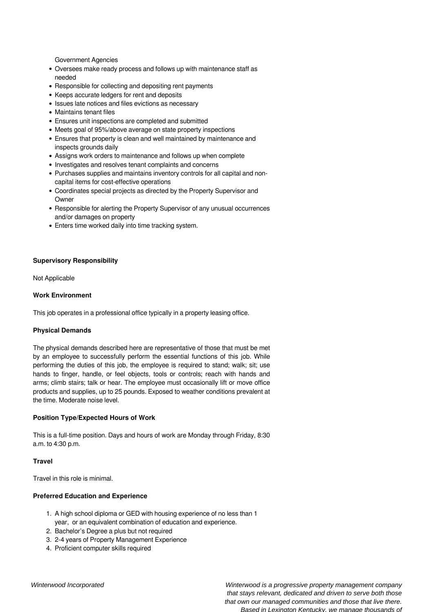Government Agencies

- Oversees make ready process and follows up with maintenance staff as needed
- Responsible for collecting and depositing rent payments
- Keeps accurate ledgers for rent and deposits
- Issues late notices and files evictions as necessary
- Maintains tenant files
- Ensures unit inspections are completed and submitted
- Meets goal of 95%/above average on state property inspections
- Ensures that property is clean and well maintained by maintenance and inspects grounds daily
- Assigns work orders to maintenance and follows up when complete
- Investigates and resolves tenant complaints and concerns
- Purchases supplies and maintains inventory controls for all capital and noncapital items for cost-effective operations
- Coordinates special projects as directed by the Property Supervisor and **Owner**
- Responsible for alerting the Property Supervisor of any unusual occurrences and/or damages on property
- Enters time worked daily into time tracking system.

#### **Supervisory Responsibility**

Not Applicable

#### **Work Environment**

This job operates in a professional office typically in a property leasing office.

## **Physical Demands**

The physical demands described here are representative of those that must be met by an employee to successfully perform the essential functions of this job. While performing the duties of this job, the employee is required to stand; walk; sit; use hands to finger, handle, or feel objects, tools or controls; reach with hands and arms; climb stairs; talk or hear. The employee must occasionally lift or move office products and supplies, up to 25 pounds. Exposed to weather conditions prevalent at the time. Moderate noise level.

## **Position Type/Expected Hours of Work**

This is a full-time position. Days and hours of work are Monday through Friday, 8:30 a.m. to 4:30 p.m.

#### **Travel**

Travel in this role is minimal.

## **Preferred Education and Experience**

- 1. A high school diploma or GED with housing experience of no less than 1 year, or an equivalent combination of education and experience.
- 2. Bachelor's Degree a plus but not required
- 3. 2-4 years of Property Management Experience
- 4. Proficient computer skills required